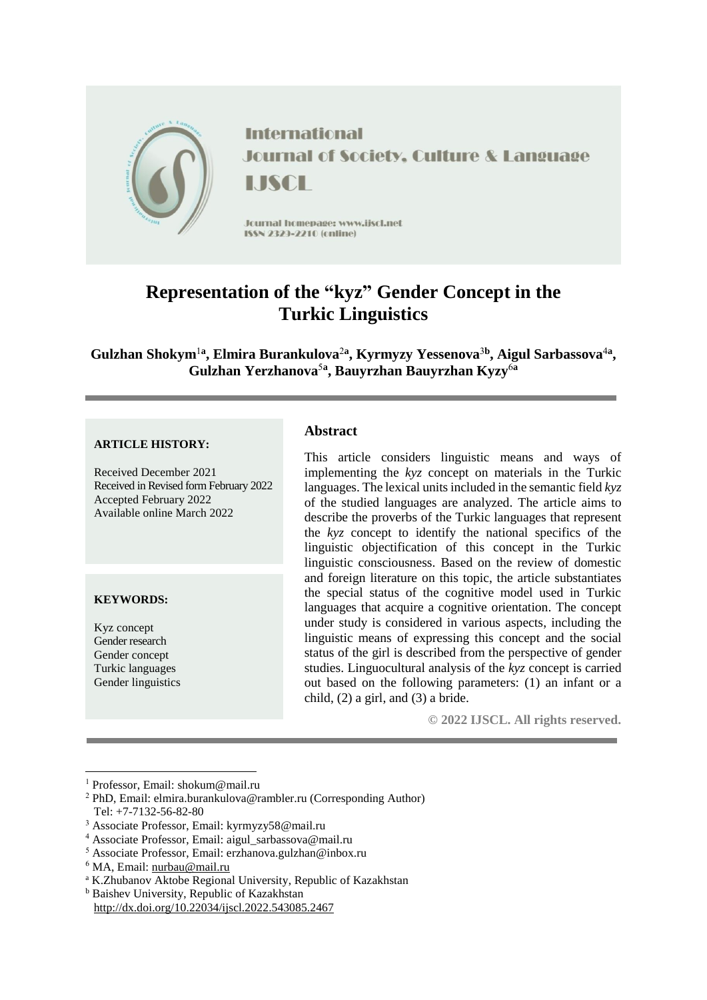

# **Representation of the "kyz" Gender Concept in the Turkic Linguistics**

**Gulzhan Shokym**<sup>1</sup>**<sup>a</sup> , Elmira Burankulova**<sup>2</sup>**<sup>a</sup> , Kyrmyzy Yessenova**<sup>3</sup>**<sup>b</sup> , Aigul Sarbassova**<sup>4</sup>**<sup>a</sup> , Gulzhan Yerzhanova**<sup>5</sup>**<sup>a</sup> , Bauyrzhan Bauyrzhan Kyzy**<sup>6</sup>**<sup>a</sup>**

#### **ARTICLE HISTORY:**

Received December 2021 Received in Revised form February 2022 Accepted February 2022 Available online March 2022

#### **KEYWORDS:**

Kyz concept Gender research Gender concept Turkic languages Gender linguistics

**.** 

#### **Abstract**

This article considers linguistic means and ways of implementing the *kyz* concept on materials in the Turkic languages. The lexical units included in the semantic field *kyz* of the studied languages are analyzed. The article aims to describe the proverbs of the Turkic languages that represent the *kyz* concept to identify the national specifics of the linguistic objectification of this concept in the Turkic linguistic consciousness. Based on the review of domestic and foreign literature on this topic, the article substantiates the special status of the cognitive model used in Turkic languages that acquire a cognitive orientation. The concept under study is considered in various aspects, including the linguistic means of expressing this concept and the social status of the girl is described from the perspective of gender studies. Linguocultural analysis of the *kyz* concept is carried out based on the following parameters: (1) an infant or a child, (2) a girl, and (3) a bride.

**© 2022 IJSCL. All rights reserved.**

<sup>1</sup> Professor, Email: shokum@mail.ru

<sup>2</sup> PhD, Email: elmira.burankulova@rambler.ru (Corresponding Author) Tel: +7-7132-56-82-80

<sup>3</sup> Associate Professor, Email: kyrmyzy58@mail.ru

<sup>4</sup> Associate Professor, Email: aigul\_sarbassova@mail.ru

<sup>5</sup> Associate Professor, Email: erzhanova.gulzhan@inbox.ru

<sup>6</sup> MA, Email: [nurbau@mail.ru](mailto:nurbau@mail.ru)

<sup>a</sup> K.Zhubanov Aktobe Regional University, Republic of Kazakhstan

<sup>b</sup> Baishev University, Republic of Kazakhstan

http://dx.doi.org/10.22034/ijscl.2022.543085.2467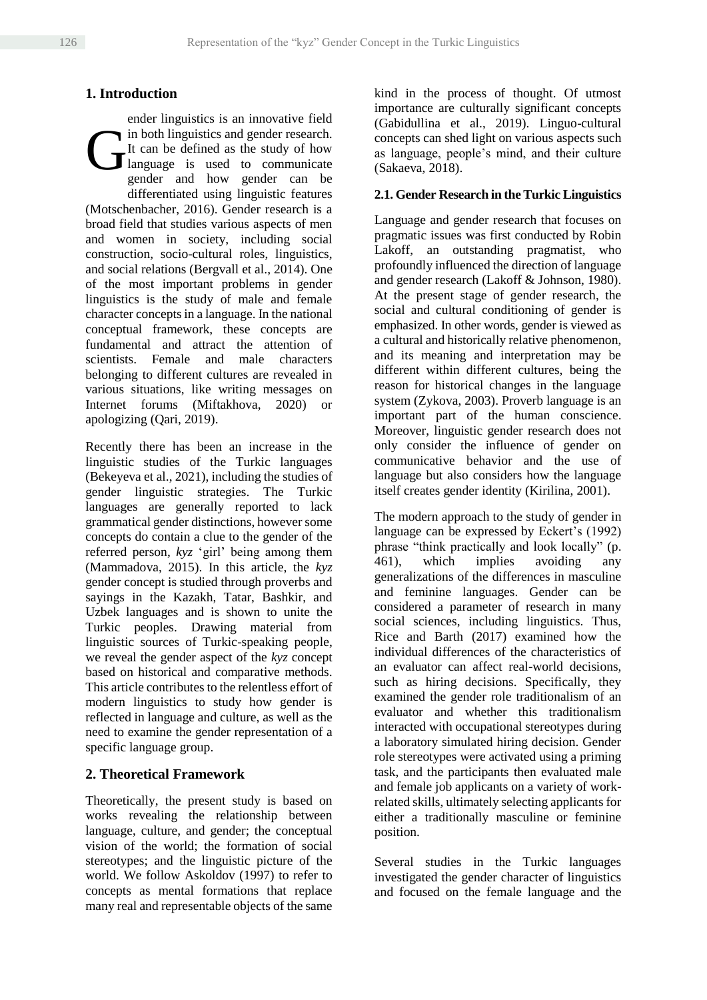# **1. Introduction**

ender linguistics is an innovative field in both linguistics and gender research. It can be defined as the study of how language is used to communicate gender and how gender can be differentiated using linguistic features (Motschenbacher, 2016). Gender research is a broad field that studies various aspects of men and women in society, including social construction, socio-cultural roles, linguistics, and social relations (Bergvall et al., 2014). One of the most important problems in gender linguistics is the study of male and female character concepts in a language. In the national conceptual framework, these concepts are fundamental and attract the attention of scientists. Female and male characters belonging to different cultures are revealed in various situations, like writing messages on Internet forums (Miftakhova, 2020) or apologizing (Qari, 2019). G

Recently there has been an increase in the linguistic studies of the Turkic languages (Bekeyeva et al., 2021), including the studies of gender linguistic strategies. The Turkic languages are generally reported to lack grammatical gender distinctions, however some concepts do contain a clue to the gender of the referred person, *kyz* 'girl' being among them (Mammadova, 2015). In this article, the *kyz* gender concept is studied through proverbs and sayings in the Kazakh, Tatar, Bashkir, and Uzbek languages and is shown to unite the Turkic peoples. Drawing material from linguistic sources of Turkic-speaking people, we reveal the gender aspect of the *kyz* concept based on historical and comparative methods. This article contributes to the relentless effort of modern linguistics to study how gender is reflected in language and culture, as well as the need to examine the gender representation of a specific language group.

# **2. Theoretical Framework**

Theoretically, the present study is based on works revealing the relationship between language, culture, and gender; the conceptual vision of the world; the formation of social stereotypes; and the linguistic picture of the world. We follow Askoldov (1997) to refer to concepts as mental formations that replace many real and representable objects of the same kind in the process of thought. Of utmost importance are culturally significant concepts (Gabidullina et al., 2019). Linguo-cultural concepts can shed light on various aspects such as language, people's mind, and their culture (Sakaeva, 2018).

### **2.1. Gender Research in the Turkic Linguistics**

Language and gender research that focuses on pragmatic issues was first conducted by Robin Lakoff, an outstanding pragmatist, who profoundly influenced the direction of language and gender research (Lakoff & Johnson, 1980). At the present stage of gender research, the social and cultural conditioning of gender is emphasized. In other words, gender is viewed as a cultural and historically relative phenomenon, and its meaning and interpretation may be different within different cultures, being the reason for historical changes in the language system (Zykova, 2003). Proverb language is an important part of the human conscience. Moreover, linguistic gender research does not only consider the influence of gender on communicative behavior and the use of language but also considers how the language itself creates gender identity (Kirilina, 2001).

The modern approach to the study of gender in language can be expressed by Eckert's (1992) phrase "think practically and look locally" (p. 461), which implies avoiding any generalizations of the differences in masculine and feminine languages. Gender can be considered a parameter of research in many social sciences, including linguistics. Thus, Rice and Barth (2017) examined how the individual differences of the characteristics of an evaluator can affect real-world decisions, such as hiring decisions. Specifically, they examined the gender role traditionalism of an evaluator and whether this traditionalism interacted with occupational stereotypes during a laboratory simulated hiring decision. Gender role stereotypes were activated using a priming task, and the participants then evaluated male and female job applicants on a variety of workrelated skills, ultimately selecting applicants for either a traditionally masculine or feminine position.

Several studies in the Turkic languages investigated the gender character of linguistics and focused on the female language and the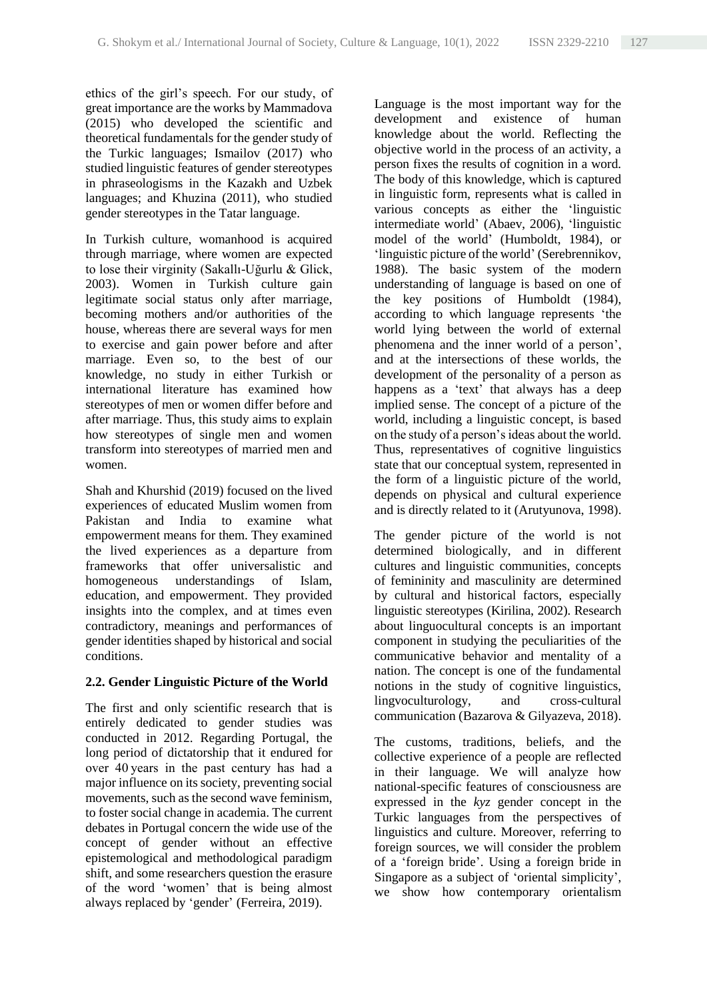ethics of the girl's speech. For our study, of great importance are the works by Mammadova (2015) who developed the scientific and theoretical fundamentals for the gender study of the Turkic languages; Ismailov (2017) who studied linguistic features of gender stereotypes in phraseologisms in the Kazakh and Uzbek languages; and Khuzina (2011), who studied gender stereotypes in the Tatar language.

In Turkish culture, womanhood is acquired through marriage, where women are expected to lose their virginity (Sakallı-Uğurlu & Glick, 2003). Women in Turkish culture gain legitimate social status only after marriage, becoming mothers and/or authorities of the house, whereas there are several ways for men to exercise and gain power before and after marriage. Even so, to the best of our knowledge, no study in either Turkish or international literature has examined how stereotypes of men or women differ before and after marriage. Thus, this study aims to explain how stereotypes of single men and women transform into stereotypes of married men and women.

Shah and Khurshid (2019) focused on the lived experiences of educated Muslim women from Pakistan and India to examine what empowerment means for them. They examined the lived experiences as a departure from frameworks that offer universalistic and homogeneous understandings of Islam, education, and empowerment. They provided insights into the complex, and at times even contradictory, meanings and performances of gender identities shaped by historical and social conditions.

#### **2.2. Gender Linguistic Picture of the World**

The first and only scientific research that is entirely dedicated to gender studies was conducted in 2012. Regarding Portugal, the long period of dictatorship that it endured for over 40 years in the past century has had a major influence on its society, preventing social movements, such as the second wave feminism, to foster social change in academia. The current debates in Portugal concern the wide use of the concept of gender without an effective epistemological and methodological paradigm shift, and some researchers question the erasure of the word 'women' that is being almost always replaced by 'gender' (Ferreira, 2019).

Language is the most important way for the development and existence of human knowledge about the world. Reflecting the objective world in the process of an activity, a person fixes the results of cognition in a word. The body of this knowledge, which is captured in linguistic form, represents what is called in various concepts as either the 'linguistic intermediate world' (Abaev, 2006), 'linguistic model of the world' (Humboldt, 1984), or 'linguistic picture of the world' (Serebrennikov, 1988). The basic system of the modern understanding of language is based on one of the key positions of Humboldt (1984), according to which language represents 'the world lying between the world of external phenomena and the inner world of a person', and at the intersections of these worlds, the development of the personality of a person as happens as a 'text' that always has a deep implied sense. The concept of a picture of the world, including a linguistic concept, is based on the study of a person's ideas about the world. Thus, representatives of cognitive linguistics state that our conceptual system, represented in the form of a linguistic picture of the world, depends on physical and cultural experience and is directly related to it (Arutyunova, 1998).

The gender picture of the world is not determined biologically, and in different cultures and linguistic communities, concepts of femininity and masculinity are determined by cultural and historical factors, especially linguistic stereotypes (Kirilina, 2002). Research about linguocultural concepts is an important component in studying the peculiarities of the communicative behavior and mentality of a nation. The concept is one of the fundamental notions in the study of cognitive linguistics, lingvoculturology, and cross-cultural communication (Bazarova & Gilyazeva, 2018).

The customs, traditions, beliefs, and the collective experience of a people are reflected in their language. We will analyze how national-specific features of consciousness are expressed in the *kyz* gender concept in the Turkic languages from the perspectives of linguistics and culture. Moreover, referring to foreign sources, we will consider the problem of a 'foreign bride'. Using a foreign bride in Singapore as a subject of 'oriental simplicity', we show how contemporary orientalism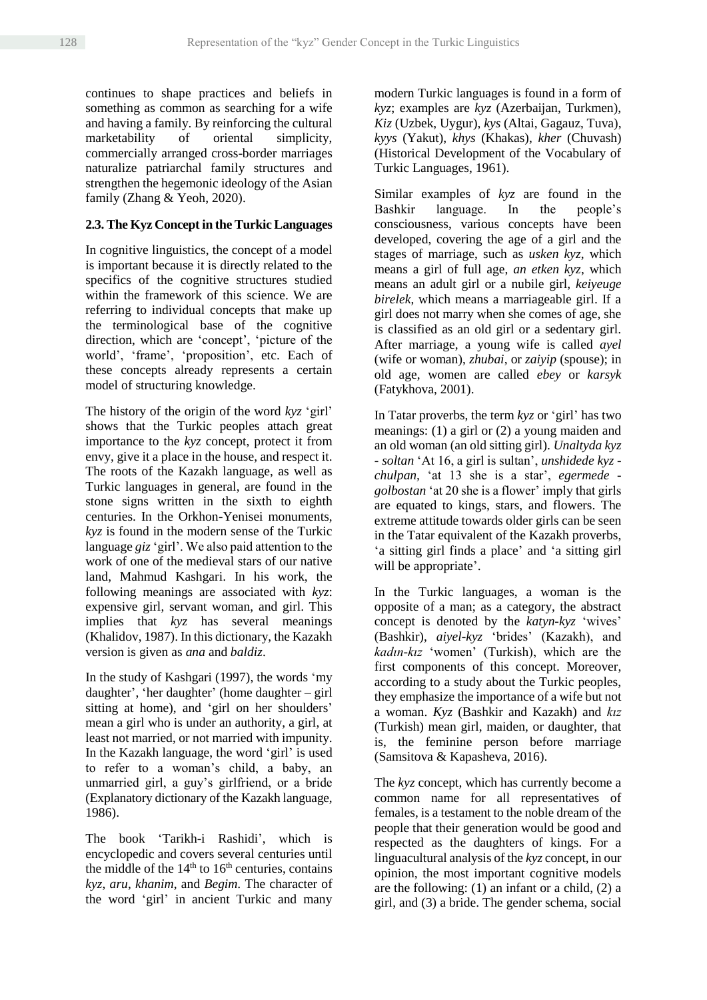continues to shape practices and beliefs in something as common as searching for a wife and having a family. By reinforcing the cultural marketability of oriental simplicity, commercially arranged cross-border marriages naturalize patriarchal family structures and strengthen the hegemonic ideology of the Asian family (Zhang & Yeoh, 2020).

# **2.3. The Kyz Concept in the Turkic Languages**

In cognitive linguistics, the concept of a model is important because it is directly related to the specifics of the cognitive structures studied within the framework of this science. We are referring to individual concepts that make up the terminological base of the cognitive direction, which are 'concept', 'picture of the world', 'frame', 'proposition', etc. Each of these concepts already represents a certain model of structuring knowledge.

The history of the origin of the word *kyz* 'girl' shows that the Turkic peoples attach great importance to the *kyz* concept, protect it from envy, give it a place in the house, and respect it. The roots of the Kazakh language, as well as Turkic languages in general, are found in the stone signs written in the sixth to eighth centuries. In the Orkhon-Yenisei monuments, *kyz* is found in the modern sense of the Turkic language *giz* 'girl'. We also paid attention to the work of one of the medieval stars of our native land, Mahmud Kashgari. In his work, the following meanings are associated with *kyz*: expensive girl, servant woman, and girl. This implies that *kyz* has several meanings (Khalidov, 1987). In this dictionary, the Kazakh version is given as *ana* and *baldiz*.

In the study of Kashgari (1997), the words 'my daughter', 'her daughter' (home daughter – girl sitting at home), and 'girl on her shoulders' mean a girl who is under an authority, a girl, at least not married, or not married with impunity. In the Kazakh language, the word 'girl' is used to refer to a woman's child, a baby, an unmarried girl, a guy's girlfriend, or a bride (Explanatory dictionary of the Kazakh language, 1986).

The book 'Tarikh-i Rashidi', which is encyclopedic and covers several centuries until the middle of the  $14<sup>th</sup>$  to  $16<sup>th</sup>$  centuries, contains *kyz*, *aru*, *khanim*, and *Begim*. The character of the word 'girl' in ancient Turkic and many modern Turkic languages is found in a form of *kyz*; examples are *kyz* (Azerbaijan, Turkmen), *Kiz* (Uzbek, Uygur), *kys* (Altai, Gagauz, Tuva), *kyys* (Yakut), *khys* (Khakas), *kher* (Chuvash) (Historical Development of the Vocabulary of Turkic Languages, 1961).

Similar examples of *kyz* are found in the Bashkir language. In the people's consciousness, various concepts have been developed, covering the age of a girl and the stages of marriage, such as *usken kyz*, which means a girl of full age, *an etken kyz*, which means an adult girl or a nubile girl, *keiyeuge birelek*, which means a marriageable girl. If a girl does not marry when she comes of age, she is classified as an old girl or a sedentary girl. After marriage, a young wife is called *ayel* (wife or woman), *zhubai*, or *zaiyip* (spouse); in old age, women are called *ebey* or *karsyk* (Fatykhova, 2001).

In Tatar proverbs, the term *kyz* or 'girl' has two meanings: (1) a girl or (2) a young maiden and an old woman (an old sitting girl). *Unaltyda kyz - soltan* 'At 16, a girl is sultan', *unshidede kyz chulpan,* 'at 13 she is a star', *egermede golbostan* 'at 20 she is a flower' imply that girls are equated to kings, stars, and flowers. The extreme attitude towards older girls can be seen in the Tatar equivalent of the Kazakh proverbs, 'a sitting girl finds a place' and 'a sitting girl will be appropriate'.

In the Turkic languages, a woman is the opposite of a man; as a category, the abstract concept is denoted by the *katyn-kyz* 'wives' (Bashkir), *aiyel-kyz* 'brides' (Kazakh), and *kadın-kız* 'women' (Turkish), which are the first components of this concept. Moreover, according to a study about the Turkic peoples, they emphasize the importance of a wife but not a woman. *Kyz* (Bashkir and Kazakh) and *kız* (Turkish) mean girl, maiden, or daughter, that is, the feminine person before marriage (Samsitova & Kapasheva, 2016).

The *kyz* concept, which has currently become a common name for all representatives of females, is a testament to the noble dream of the people that their generation would be good and respected as the daughters of kings. For a linguacultural analysis of the *kyz* concept, in our opinion, the most important cognitive models are the following: (1) an infant or a child, (2) a girl, and (3) a bride. The gender schema, social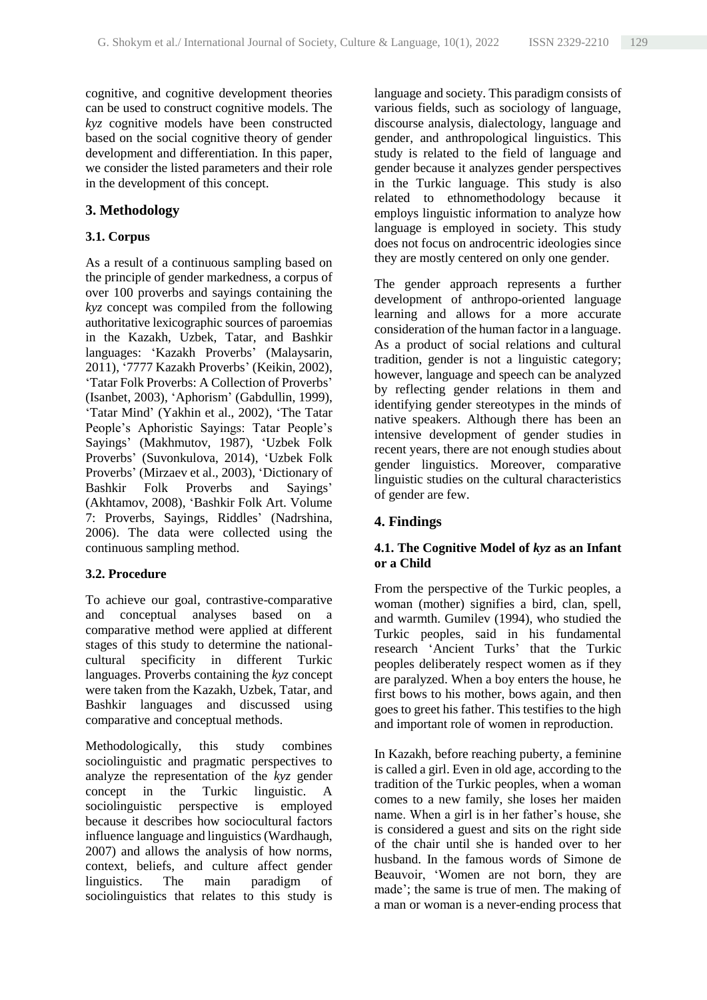cognitive, and cognitive development theories can be used to construct cognitive models. The *kyz* cognitive models have been constructed based on the social cognitive theory of gender development and differentiation. In this paper, we consider the listed parameters and their role in the development of this concept.

# **3. Methodology**

## **3.1. Corpus**

As a result of a continuous sampling based on the principle of gender markedness, a corpus of over 100 proverbs and sayings containing the *kyz* concept was compiled from the following authoritative lexicographic sources of paroemias in the Kazakh, Uzbek, Tatar, and Bashkir languages: 'Kazakh Proverbs' (Malaysarin, 2011), '7777 Kazakh Proverbs' (Keikin, 2002), 'Tatar Folk Proverbs: A Collection of Proverbs' (Isanbet, 2003), 'Aphorism' (Gabdullin, 1999), 'Tatar Mind' (Yakhin et al., 2002), 'The Tatar People's Aphoristic Sayings: Tatar People's Sayings' (Makhmutov, 1987), 'Uzbek Folk Proverbs' (Suvonkulova, 2014), 'Uzbek Folk Proverbs' (Mirzaev et al., 2003), 'Dictionary of Bashkir Folk Proverbs and Sayings' (Akhtamov, 2008), 'Bashkir Folk Art. Volume 7: Proverbs, Sayings, Riddles' (Nadrshina, 2006). The data were collected using the continuous sampling method.

#### **3.2. Procedure**

To achieve our goal, contrastive-comparative and conceptual analyses based on a comparative method were applied at different stages of this study to determine the nationalcultural specificity in different Turkic languages. Proverbs containing the *kyz* concept were taken from the Kazakh, Uzbek, Tatar, and Bashkir languages and discussed using comparative and conceptual methods.

Methodologically, this study combines sociolinguistic and pragmatic perspectives to analyze the representation of the *kyz* gender concept in the Turkic linguistic. A sociolinguistic perspective is employed because it describes how sociocultural factors influence language and linguistics (Wardhaugh, 2007) and allows the analysis of how norms, context, beliefs, and culture affect gender linguistics. The main paradigm of sociolinguistics that relates to this study is

language and society. This paradigm consists of various fields, such as sociology of language, discourse analysis, dialectology, language and gender, and anthropological linguistics. This study is related to the field of language and gender because it analyzes gender perspectives in the Turkic language. This study is also related to ethnomethodology because it employs linguistic information to analyze how language is employed in society. This study does not focus on androcentric ideologies since they are mostly centered on only one gender.

The gender approach represents a further development of anthropo-oriented language learning and allows for a more accurate consideration of the human factor in a language. As a product of social relations and cultural tradition, gender is not a linguistic category; however, language and speech can be analyzed by reflecting gender relations in them and identifying gender stereotypes in the minds of native speakers. Although there has been an intensive development of gender studies in recent years, there are not enough studies about gender linguistics. Moreover, comparative linguistic studies on the cultural characteristics of gender are few.

# **4. Findings**

### **4.1. The Cognitive Model of** *kyz* **as an Infant or a Child**

From the perspective of the Turkic peoples, a woman (mother) signifies a bird, clan, spell, and warmth. Gumilev (1994), who studied the Turkic peoples, said in his fundamental research 'Ancient Turks' that the Turkic peoples deliberately respect women as if they are paralyzed. When a boy enters the house, he first bows to his mother, bows again, and then goes to greet his father. This testifies to the high and important role of women in reproduction.

In Kazakh, before reaching puberty, a feminine is called a girl. Even in old age, according to the tradition of the Turkic peoples, when a woman comes to a new family, she loses her maiden name. When a girl is in her father's house, she is considered a guest and sits on the right side of the chair until she is handed over to her husband. In the famous words of Simone de Beauvoir, 'Women are not born, they are made'; the same is true of men. The making of a man or woman is a never-ending process that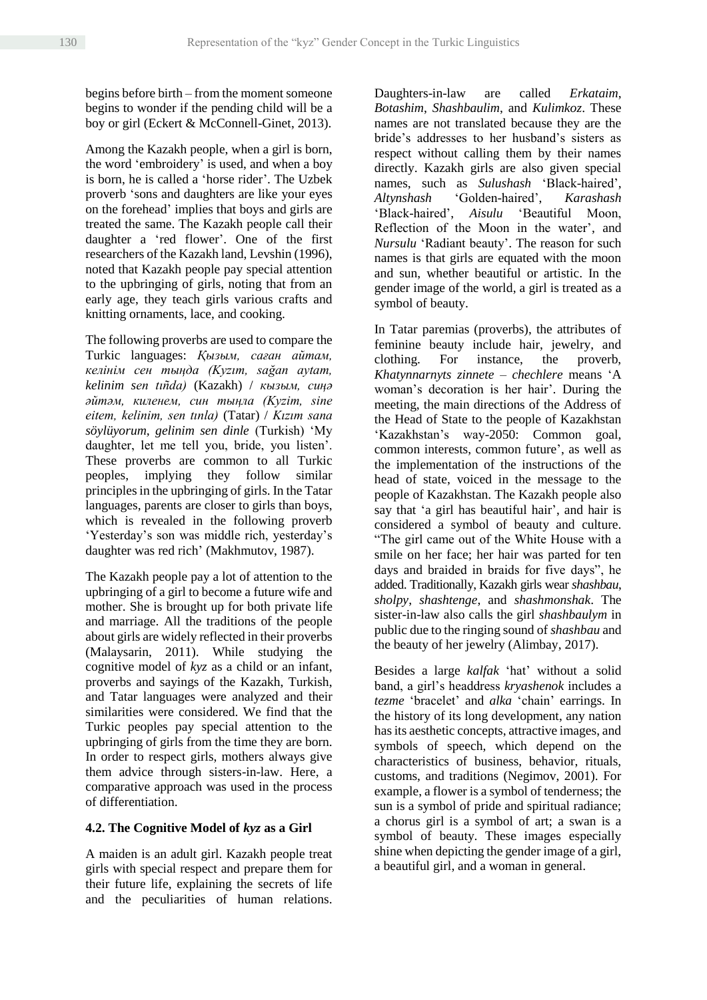begins before birth – from the moment someone begins to wonder if the pending child will be a boy or girl (Eckert & McConnell-Ginet, 2013).

Among the Kazakh people, when a girl is born, the word 'embroidery' is used, and when a boy is born, he is called a 'horse rider'. The Uzbek proverb 'sons and daughters are like your eyes on the forehead' implies that boys and girls are treated the same. The Kazakh people call their daughter a 'red flower'. One of the first researchers of the Kazakh land, Levshin (1996), noted that Kazakh people pay special attention to the upbringing of girls, noting that from an early age, they teach girls various crafts and knitting ornaments, lace, and cooking.

The following proverbs are used to compare the Turkic languages: *Қызым, саған айтам, келінім сен тыңда (Kyzım, sağan aytam, kelinim sen tıñda)* (Kazakh) / *кызым, сиңә әйтәм, киленем, син тыңла (Kyzim, sine eitem, kelinim, sen tınla)* (Tatar) / *Kızım sana söylüyorum, gelinim sen dinle* (Turkish) 'My daughter, let me tell you, bride, you listen'. These proverbs are common to all Turkic peoples, implying they follow similar principles in the upbringing of girls. In the Tatar languages, parents are closer to girls than boys, which is revealed in the following proverb 'Yesterday's son was middle rich, yesterday's daughter was red rich' (Makhmutov, 1987).

The Kazakh people pay a lot of attention to the upbringing of a girl to become a future wife and mother. She is brought up for both private life and marriage. All the traditions of the people about girls are widely reflected in their proverbs (Malaysarin, 2011). While studying the cognitive model of *kyz* as a child or an infant, proverbs and sayings of the Kazakh, Turkish, and Tatar languages were analyzed and their similarities were considered. We find that the Turkic peoples pay special attention to the upbringing of girls from the time they are born. In order to respect girls, mothers always give them advice through sisters-in-law. Here, a comparative approach was used in the process of differentiation.

#### **4.2. The Cognitive Model of** *kyz* **as a Girl**

A maiden is an adult girl. Kazakh people treat girls with special respect and prepare them for their future life, explaining the secrets of life and the peculiarities of human relations.

Daughters-in-law are called *Erkataim*, *Botashim*, *Shashbaulim*, and *Kulimkoz*. These names are not translated because they are the bride's addresses to her husband's sisters as respect without calling them by their names directly. Kazakh girls are also given special names, such as *Sulushash* 'Black-haired', *Altynshash* 'Golden-haired', *Karashash* 'Black-haired', *Aisulu* 'Beautiful Moon, Reflection of the Moon in the water', and *Nursulu* 'Radiant beauty'. The reason for such names is that girls are equated with the moon and sun, whether beautiful or artistic. In the gender image of the world, a girl is treated as a symbol of beauty.

In Tatar paremias (proverbs), the attributes of feminine beauty include hair, jewelry, and clothing. For instance, the proverb, *Khatynnarnyts zinnete – chechlere* means 'A woman's decoration is her hair'. During the meeting, the main directions of the Address of the Head of State to the people of Kazakhstan 'Kazakhstan's way-2050: Common goal, common interests, common future', as well as the implementation of the instructions of the head of state, voiced in the message to the people of Kazakhstan. The Kazakh people also say that 'a girl has beautiful hair', and hair is considered a symbol of beauty and culture. "The girl came out of the White House with a smile on her face; her hair was parted for ten days and braided in braids for five days", he added. Traditionally, Kazakh girls wear *shashbau*, *sholpy*, *shashtenge*, and *shashmonshak*. The sister-in-law also calls the girl *shashbaulym* in public due to the ringing sound of *shashbau* and the beauty of her jewelry (Alimbay, 2017).

Besides a large *kalfak* 'hat' without a solid band, a girl's headdress *kryashenok* includes a *tezme* 'bracelet' and *alka* 'chain' earrings. In the history of its long development, any nation has its aesthetic concepts, attractive images, and symbols of speech, which depend on the characteristics of business, behavior, rituals, customs, and traditions (Negimov, 2001). For example, a flower is a symbol of tenderness; the sun is a symbol of pride and spiritual radiance; a chorus girl is a symbol of art; a swan is a symbol of beauty. These images especially shine when depicting the gender image of a girl, a beautiful girl, and a woman in general.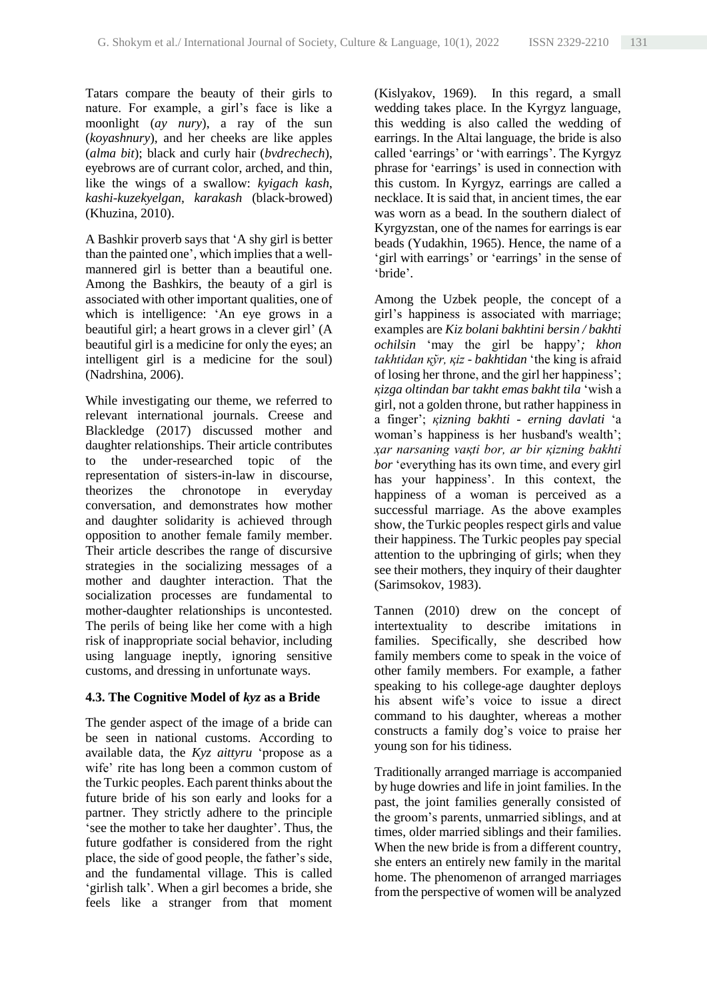Tatars compare the beauty of their girls to nature. For example, a girl's face is like a moonlight (*ay nury*), a ray of the sun (*koyashnury*), and her cheeks are like apples (*alma bit*); black and curly hair (*bvdrechech*), eyebrows are of currant color, arched, and thin, like the wings of a swallow: *kyigach kash*, *kashi-kuzekyelgan*, *karakash* (black-browed) (Khuzina, 2010).

A Bashkir proverb says that 'A shy girl is better than the painted one', which implies that a wellmannered girl is better than a beautiful one. Among the Bashkirs, the beauty of a girl is associated with other important qualities, one of which is intelligence: 'An eye grows in a beautiful girl; a heart grows in a clever girl' (A beautiful girl is a medicine for only the eyes; an intelligent girl is a medicine for the soul) (Nadrshina, 2006).

While investigating our theme, we referred to relevant international journals. Creese and Blackledge (2017) discussed mother and daughter relationships. Their article contributes to the under-researched topic of the representation of sisters-in-law in discourse, theorizes the chronotope in everyday conversation, and demonstrates how mother and daughter solidarity is achieved through opposition to another female family member. Their article describes the range of discursive strategies in the socializing messages of a mother and daughter interaction. That the socialization processes are fundamental to mother-daughter relationships is uncontested. The perils of being like her come with a high risk of inappropriate social behavior, including using language ineptly, ignoring sensitive customs, and dressing in unfortunate ways.

#### **4.3. The Cognitive Model of** *kyz* **as a Bride**

The gender aspect of the image of a bride can be seen in national customs. According to available data, the *Kyz aittyru* 'propose as a wife' rite has long been a common custom of the Turkic peoples. Each parent thinks about the future bride of his son early and looks for a partner. They strictly adhere to the principle 'see the mother to take her daughter'. Thus, the future godfather is considered from the right place, the side of good people, the father's side, and the fundamental village. This is called 'girlish talk'. When a girl becomes a bride, she feels like a stranger from that moment (Kislyakov, 1969). In this regard, a small wedding takes place. In the Kyrgyz language, this wedding is also called the wedding of earrings. In the Altai language, the bride is also called 'earrings' or 'with earrings'. The Kyrgyz phrase for 'earrings' is used in connection with this custom. In Kyrgyz, earrings are called a necklace. It is said that, in ancient times, the ear was worn as a bead. In the southern dialect of Kyrgyzstan, one of the names for earrings is ear beads (Yudakhin, 1965). Hence, the name of a 'girl with earrings' or 'earrings' in the sense of 'bride'.

Among the Uzbek people, the concept of a girl's happiness is associated with marriage; examples are *Kiz bolani bakhtini bersin / bakhti ochilsin* 'may the girl be happy'*; khon takhtidan қўr, қiz - bakhtidan* 'the king is afraid of losing her throne, and the girl her happiness'; *қizga oltindan bar takht emas bakht tila* 'wish a girl, not a golden throne, but rather happiness in a finger'; *қizning bakhti - erning davlati* 'a woman's happiness is her husband's wealth'; *ҳar narsaning vaқti bor, ar bir қizning bakhti bor* 'everything has its own time, and every girl has your happiness'. In this context, the happiness of a woman is perceived as a successful marriage. As the above examples show, the Turkic peoples respect girls and value their happiness. The Turkic peoples pay special attention to the upbringing of girls; when they see their mothers, they inquiry of their daughter (Sarimsokov, 1983).

Tannen (2010) drew on the concept of intertextuality to describe imitations in families. Specifically, she described how family members come to speak in the voice of other family members. For example, a father speaking to his college-age daughter deploys his absent wife's voice to issue a direct command to his daughter, whereas a mother constructs a family dog's voice to praise her young son for his tidiness.

Traditionally arranged marriage is accompanied by huge dowries and life in joint families. In the past, the joint families generally consisted of the groom's parents, unmarried siblings, and at times, older married siblings and their families. When the new bride is from a different country, she enters an entirely new family in the marital home. The phenomenon of arranged marriages from the perspective of women will be analyzed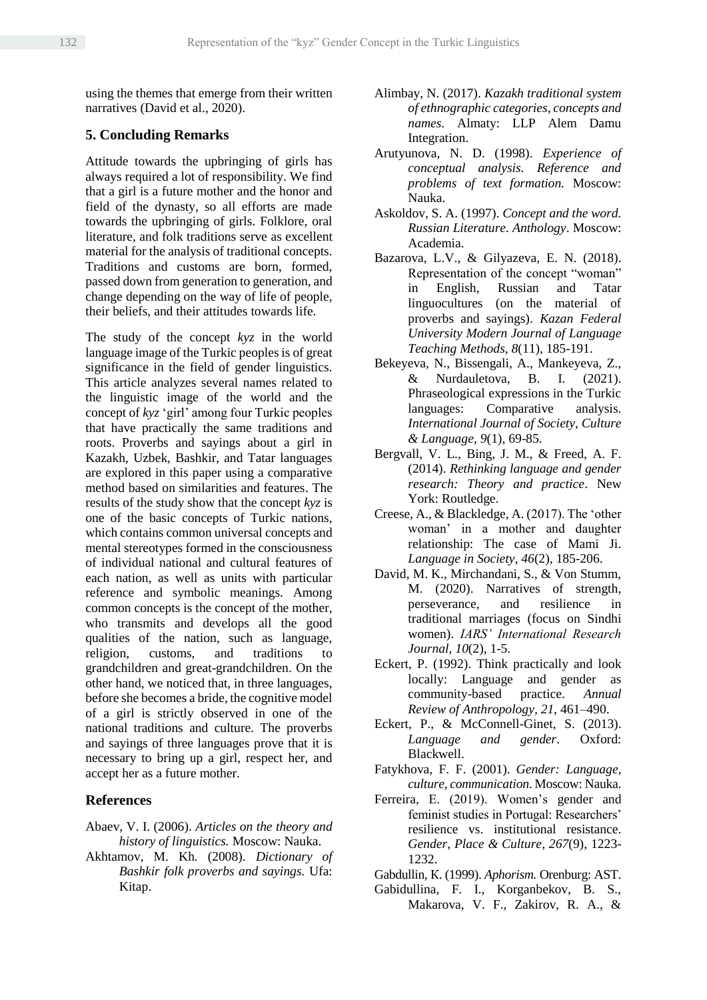using the themes that emerge from their written narratives (David et al., 2020).

# **5. Concluding Remarks**

Attitude towards the upbringing of girls has always required a lot of responsibility. We find that a girl is a future mother and the honor and field of the dynasty, so all efforts are made towards the upbringing of girls. Folklore, oral literature, and folk traditions serve as excellent material for the analysis of traditional concepts. Traditions and customs are born, formed, passed down from generation to generation, and change depending on the way of life of people, their beliefs, and their attitudes towards life.

The study of the concept *kyz* in the world language image of the Turkic peoples is of great significance in the field of gender linguistics. This article analyzes several names related to the linguistic image of the world and the concept of *kyz* 'girl' among four Turkic peoples that have practically the same traditions and roots. Proverbs and sayings about a girl in Kazakh, Uzbek, Bashkir, and Tatar languages are explored in this paper using a comparative method based on similarities and features. The results of the study show that the concept *kyz* is one of the basic concepts of Turkic nations, which contains common universal concepts and mental stereotypes formed in the consciousness of individual national and cultural features of each nation, as well as units with particular reference and symbolic meanings. Among common concepts is the concept of the mother, who transmits and develops all the good qualities of the nation, such as language, religion, customs, and traditions to grandchildren and great-grandchildren. On the other hand, we noticed that, in three languages, before she becomes a bride, the cognitive model of a girl is strictly observed in one of the national traditions and culture. The proverbs and sayings of three languages prove that it is necessary to bring up a girl, respect her, and accept her as a future mother.

# **References**

- Abaev, V. I. (2006). *Articles on the theory and history of linguistics.* Moscow: Nauka.
- Akhtamov, M. Kh. (2008). *Dictionary of Bashkir folk proverbs and sayings.* Ufa: Kitap.
- Alimbay, N. (2017). *Kazakh traditional system of ethnographic categories, concepts and names.* Almaty: LLP Alem Damu Integration.
- Arutyunova, N. D. (1998). *Experience of conceptual analysis. Reference and problems of text formation.* Moscow: Nauka.
- Askoldov, S. A. (1997). *Concept and the word. Russian Literature. Anthology*. Moscow: Academia.
- Bazarova, L.V., & Gilyazeva, E. N. (2018). Representation of the concept "woman" in English, Russian and Tatar linguocultures (on the material of proverbs and sayings). *Kazan Federal University Modern Journal of Language Teaching Methods, 8*(11), 185-191.
- Bekeyeva, N., Bissengali, A., Mankeyeva, Z., & Nurdauletova, B. I. (2021). Phraseological expressions in the Turkic languages: Comparative analysis. *International Journal of Society, Culture & Language, 9*(1), 69-85.
- Bergvall, V. L., Bing, J. M., & Freed, A. F. (2014). *Rethinking language and gender research: Theory and practice*. New York: Routledge.
- Creese, A., & Blackledge, A. (2017). The 'other woman' in a mother and daughter relationship: The case of Mami Ji. *Language in Society, 46*(2), 185-206.
- David, M. K., Mirchandani, S., & Von Stumm, M. (2020). Narratives of strength, perseverance, and resilience in traditional marriages (focus on Sindhi women). *IARS' International Research Journal, 10*(2), 1-5.
- Eckert, P. (1992). Think practically and look locally: Language and gender as community-based practice. *Annual Review of Anthropology, 21*, 461–490.
- Eckert, P., & McConnell-Ginet, S. (2013). *Language and gender*. Oxford: Blackwell.
- Fatykhova, F. F. (2001). *Gender: Language, culture, communication*. Moscow: Nauka.
- Ferreira, E. (2019). Women's gender and feminist studies in Portugal: Researchers' resilience vs. institutional resistance. *Gender, Place & Culture, 267*(9), 1223- 1232.
- Gabdullin, К. (1999). *Aphorism.* Orenburg: AST.
- Gabidullina, F. I., Korganbekov, B. S., Makarova, V. F., Zakirov, R. A., &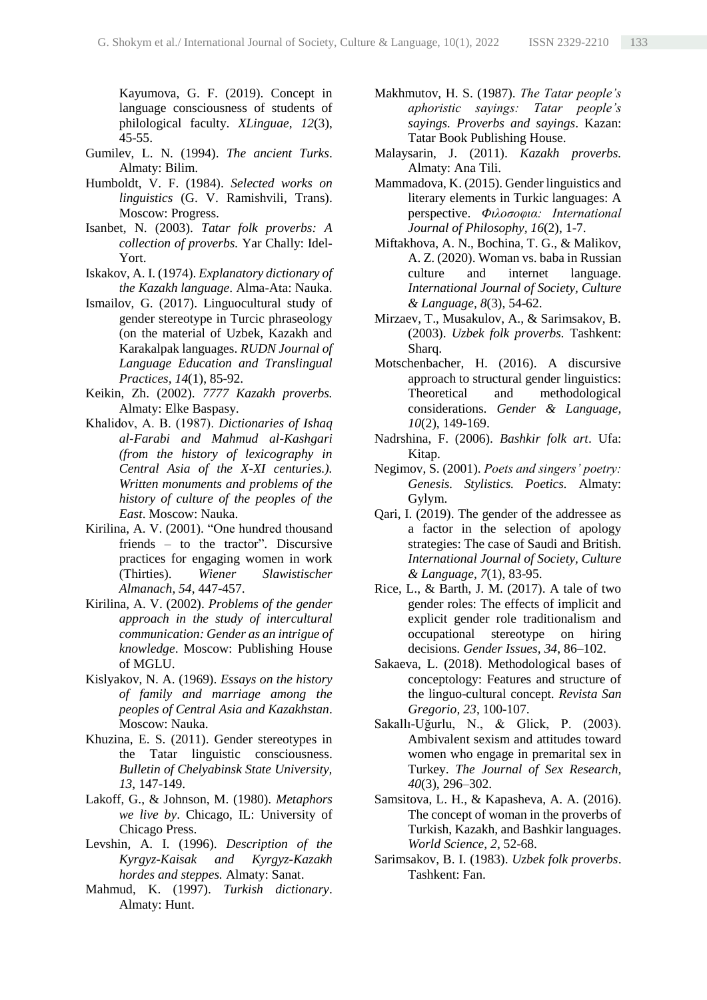Kayumova, G. F. (2019). Concept in language consciousness of students of philological faculty. *XLinguae, 12*(3), 45-55.

- Gumilev, L. N. (1994). *The ancient Turks*. Almaty: Bilim.
- Humboldt, V. F. (1984). *Selected works on linguistics* (G. V. Ramishvili, Trans). Moscow: Progress.
- Isanbet, N. (2003). *Tatar folk proverbs: A collection of proverbs.* Yar Chally: Idel-Yort.
- Iskakov, A. I. (1974). *Explanatory dictionary of the Kazakh language*. Alma-Ata: Nauka.
- Ismailov, G. (2017). Linguocultural study of gender stereotype in Turcic phraseology (on the material of Uzbek, Kazakh and Karakalpak languages. *RUDN Journal of Language Education and Translingual Practices, 14*(1), 85-92.
- Keikin, Zh. (2002). *7777 Kazakh proverbs.* Almaty: Elke Baspasy.
- Khalidov, А. B. (1987). *Dictionaries of Ishaq al-Farabi and Mahmud al-Kashgari (from the history of lexicography in Central Asia of the X-XI centuries.). Written monuments and problems of the history of culture of the peoples of the East*. Moscow: Nauka.
- Kirilina, A. V. (2001). "One hundred thousand friends – to the tractor". Discursive practices for engaging women in work (Thirties). *Wiener Slawistischer Almanach, 54*, 447-457.
- Kirilina, A. V. (2002). *Problems of the gender approach in the study of intercultural communication: Gender as an intrigue of knowledge*. Moscow: Publishing House of MGLU.
- Kislyakov, N. A. (1969). *Essays on the history of family and marriage among the peoples of Central Asia and Kazakhstan*. Moscow: Nauka.
- Khuzina, E. S. (2011). Gender stereotypes in the Tatar linguistic consciousness. *Bulletin of Chelyabinsk State University, 13*, 147-149.
- Lakoff, G., & Johnson, M. (1980). *Metaphors we live by*. Chicago, IL: University of Chicago Press.
- Levshin, A. I. (1996). *Description of the Kyrgyz-Kaisak and Kyrgyz-Kazakh hordes and steppes.* Almaty: Sanat.
- Mahmud, K. (1997). *Turkish dictionary*. Almaty: Hunt.
- Makhmutov, H. S. (1987). *The Tatar people's aphoristic sayings: Tatar people's sayings. Proverbs and sayings*. Kazan: Tatar Book Publishing House.
- Malaysarin, J. (2011). *Kazakh proverbs.* Almaty: Ana Tili.
- Mammadova, K. (2015). Gender linguistics and literary elements in Turkic languages: A perspective. *Φιλοσοφια: International Journal of Philosophy, 16*(2), 1-7.
- Miftakhova, A. N., Bochina, T. G., & Malikov, A. Z. (2020). Woman vs. baba in Russian culture and internet language. *International Journal of Society, Culture & Language, 8*(3), 54-62.
- Mirzaev, T., Musakulov, A., & Sarimsakov, B. (2003). *Uzbek folk proverbs.* Tashkent: Sharq.
- Motschenbacher, H. (2016). A discursive approach to structural gender linguistics: Theoretical and methodological considerations. *Gender & Language, 10*(2), 149-169.
- Nadrshina, F. (2006). *Bashkir folk art*. Ufa: Kitap.
- Negimov, S. (2001). *Poets and singers' poetry: Genesis. Stylistics. Poetics.* Almaty: Gylym.
- Qari, I. (2019). The gender of the addressee as a factor in the selection of apology strategies: The case of Saudi and British. *International Journal of Society, Culture & Language, 7*(1), 83-95.
- Rice, L., & Barth, J. M. (2017). A tale of two gender roles: The effects of implicit and explicit gender role traditionalism and occupational stereotype on hiring decisions. *Gender Issues, 34*, 86–102.
- Sakaeva, L. (2018). Methodological bases of conceptology: Features and structure of the linguo-cultural concept. *Revista San Gregorio, 23*, 100-107.
- Sakallı-Uğurlu, N., & Glick, P. (2003). Ambivalent sexism and attitudes toward women who engage in premarital sex in Turkey. *The Journal of Sex Research, 40*(3), 296–302.
- Samsitova, L. H., & Kapasheva, A. A. (2016). The concept of woman in the proverbs of Turkish, Kazakh, and Bashkir languages. *World Science, 2*, 52-68.
- Sarimsakov, B. I. (1983). *Uzbek folk proverbs*. Tashkent: Fan.